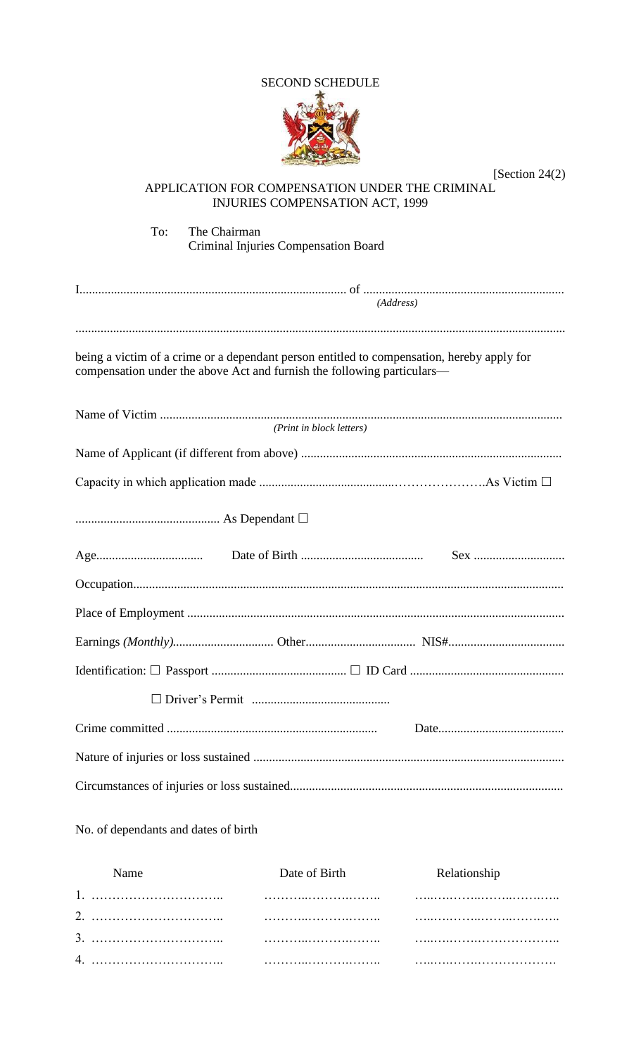#### **SECOND SCHEDULE**



[Section 24 $(2)$ ] APPLICATION FOR COMPENSATION UNDER THE CRIMINAL **INJURIES COMPENSATION ACT, 1999** To: The Chairman Criminal Injuries Compensation Board  $(Address)$ being a victim of a crime or a dependant person entitled to compensation, hereby apply for compensation under the above Act and furnish the following particulars-(Print in block letters) Sex ................................ 

No. of dependants and dates of birth

| Name | Date of Birth | <b>Relationship</b> |
|------|---------------|---------------------|
|      |               |                     |
|      |               |                     |
|      |               |                     |
|      |               |                     |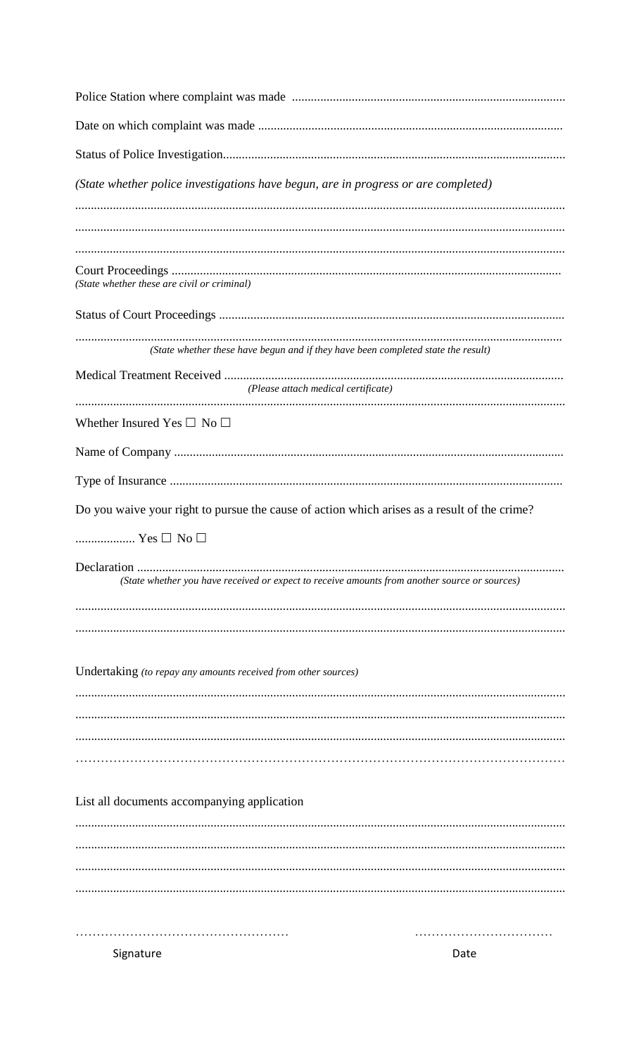| (State whether police investigations have begun, are in progress or are completed)            |      |  |
|-----------------------------------------------------------------------------------------------|------|--|
| (State whether these are civil or criminal)                                                   |      |  |
|                                                                                               |      |  |
| (State whether these have begun and if they have been completed state the result)             |      |  |
| (Please attach medical certificate)                                                           |      |  |
| Whether Insured Yes $\square$ No $\square$                                                    |      |  |
|                                                                                               |      |  |
|                                                                                               |      |  |
| Do you waive your right to pursue the cause of action which arises as a result of the crime?  |      |  |
| $\ldots$ Yes $\Box$ No $\Box$                                                                 |      |  |
| (State whether you have received or expect to receive amounts from another source or sources) |      |  |
|                                                                                               |      |  |
| Undertaking (to repay any amounts received from other sources)                                |      |  |
|                                                                                               |      |  |
|                                                                                               |      |  |
|                                                                                               |      |  |
| List all documents accompanying application                                                   |      |  |
|                                                                                               |      |  |
|                                                                                               |      |  |
|                                                                                               |      |  |
|                                                                                               |      |  |
| Signature                                                                                     | Date |  |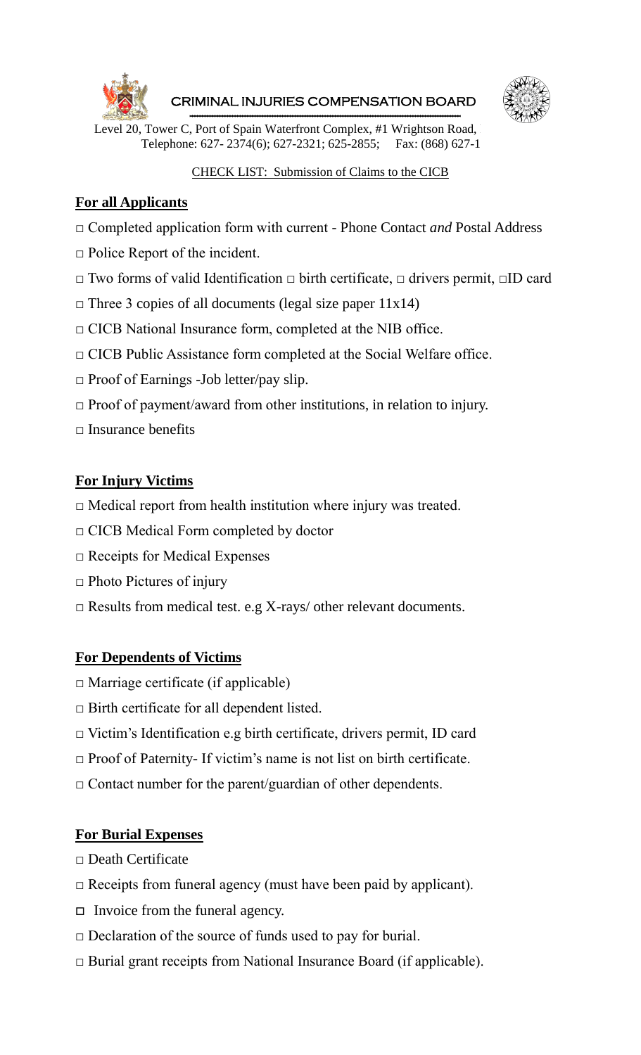

 CRIMINAL INJURIES COMPENSATION BOARD ------------------------------------------------------------------------------------------------------------



Level 20, Tower C, Port of Spain Waterfront Complex, #1 Wrightson Road, Telephone: 627- 2374(6); 627-2321; 625-2855; Fax: (868) 627-1

### CHECK LIST: Submission of Claims to the CICB

### **For all Applicants**

- □ Completed application form with current Phone Contact *and* Postal Address
- $\Box$  Police Report of the incident.
- □ Two forms of valid Identification □ birth certificate, □ drivers permit, □ID card
- $\Box$  Three 3 copies of all documents (legal size paper 11x14)
- $\Box$  CICB National Insurance form, completed at the NIB office.
- $\Box$  CICB Public Assistance form completed at the Social Welfare office.
- $\Box$  Proof of Earnings -Job letter/pay slip.
- $\Box$  Proof of payment/award from other institutions, in relation to injury.
- **□** Insurance benefits

### **For Injury Victims**

- $\Box$  Medical report from health institution where injury was treated.
- □ CICB Medical Form completed by doctor
- □ Receipts for Medical Expenses
- $\Box$  Photo Pictures of injury
- $\Box$  Results from medical test. e.g X-rays/ other relevant documents.

### **For Dependents of Victims**

- $\square$  Marriage certificate (if applicable)
- □ Birth certificate for all dependent listed.
- □ Victim's Identification e.g birth certificate, drivers permit, ID card
- $\Box$  Proof of Paternity- If victim's name is not list on birth certificate.
- $\Box$  Contact number for the parent/guardian of other dependents.

### **For Burial Expenses**

- □ Death Certificate
- $\Box$  Receipts from funeral agency (must have been paid by applicant).
- $\Box$  Invoice from the funeral agency.
- $\Box$  Declaration of the source of funds used to pay for burial.
- □ Burial grant receipts from National Insurance Board (if applicable).